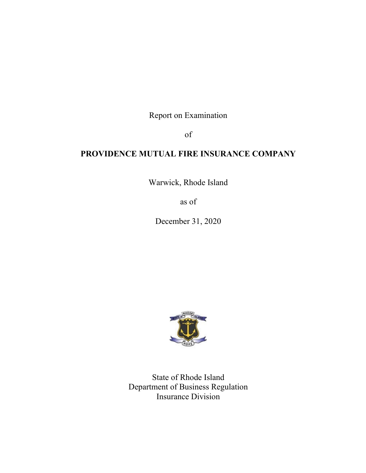Report on Examination

of

# **PROVIDENCE MUTUAL FIRE INSURANCE COMPANY**

Warwick, Rhode Island

as of

December 31, 2020



State of Rhode Island Department of Business Regulation Insurance Division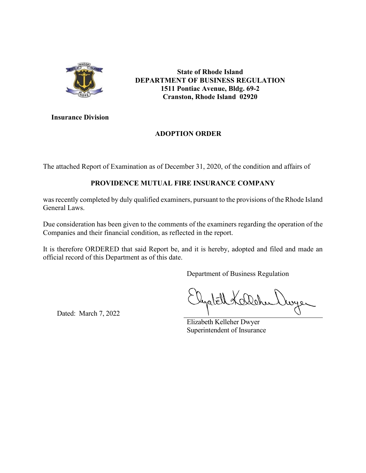

**State of Rhode Island DEPARTMENT OF BUSINESS REGULATION 1511 Pontiac Avenue, Bldg. 69-2 Cranston, Rhode Island 02920** 

**Insurance Division** 

# **ADOPTION ORDER**

The attached Report of Examination as of December 31, 2020, of the condition and affairs of

# **PROVIDENCE MUTUAL FIRE INSURANCE COMPANY**

was recently completed by duly qualified examiners, pursuant to the provisions of the Rhode Island General Laws.

Due consideration has been given to the comments of the examiners regarding the operation of the Companies and their financial condition, as reflected in the report.

It is therefore ORDERED that said Report be, and it is hereby, adopted and filed and made an official record of this Department as of this date.

Department of Business Regulation

wyer

Dated: March 7, 2022

Elizabeth Kelleher Dwyer Superintendent of Insurance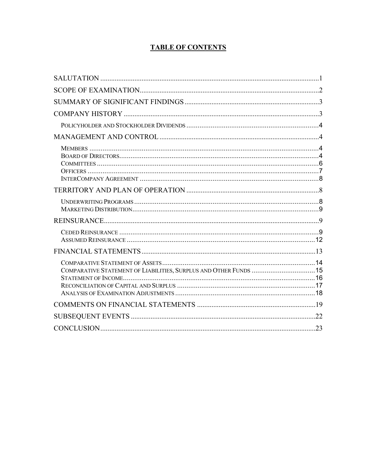# **TABLE OF CONTENTS**

| COMPARATIVE STATEMENT OF LIABILITIES, SURPLUS AND OTHER FUNDS  15 |  |
|-------------------------------------------------------------------|--|
|                                                                   |  |
|                                                                   |  |
|                                                                   |  |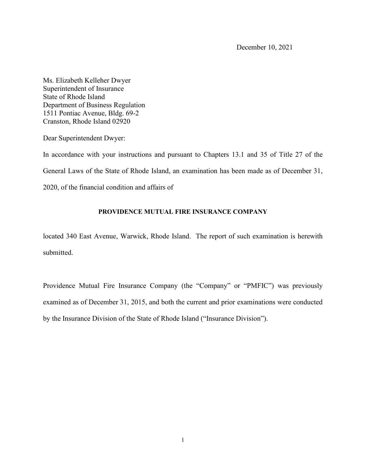Ms. Elizabeth Kelleher Dwyer Superintendent of Insurance State of Rhode Island Department of Business Regulation 1511 Pontiac Avenue, Bldg. 69-2 Cranston, Rhode Island 02920

Dear Superintendent Dwyer:

In accordance with your instructions and pursuant to Chapters 13.1 and 35 of Title 27 of the General Laws of the State of Rhode Island, an examination has been made as of December 31, 2020, of the financial condition and affairs of

## **PROVIDENCE MUTUAL FIRE INSURANCE COMPANY**

located 340 East Avenue, Warwick, Rhode Island. The report of such examination is herewith submitted.

Providence Mutual Fire Insurance Company (the "Company" or "PMFIC") was previously examined as of December 31, 2015, and both the current and prior examinations were conducted by the Insurance Division of the State of Rhode Island ("Insurance Division").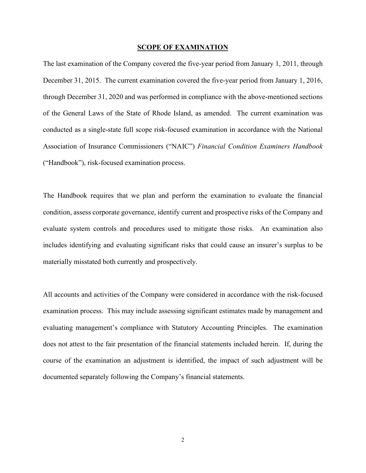#### **SCOPE OF EXAMINATION**

The last examination of the Company covered the five-year period from January 1, 2011, through December 31, 2015. The current examination covered the five-year period from January 1, 2016, through December 31, 2020 and was performed in compliance with the above-mentioned sections of the General Laws of the State of Rhode Island, as amended. The current examination was conducted as a single-state full scope risk-focused examination in accordance with the National Association of Insurance Commissioners ("NAIC") *Financial Condition Examiners Handbook* ("Handbook"), risk-focused examination process.

The Handbook requires that we plan and perform the examination to evaluate the financial condition, assess corporate governance, identify current and prospective risks of the Company and evaluate system controls and procedures used to mitigate those risks. An examination also includes identifying and evaluating significant risks that could cause an insurer's surplus to be materially misstated both currently and prospectively.

All accounts and activities of the Company were considered in accordance with the risk-focused examination process. This may include assessing significant estimates made by management and evaluating management's compliance with Statutory Accounting Principles. The examination does not attest to the fair presentation of the financial statements included herein. If, during the course of the examination an adjustment is identified, the impact of such adjustment will be documented separately following the Company's financial statements.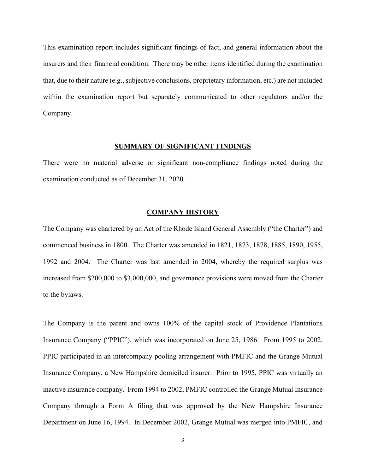This examination report includes significant findings of fact, and general information about the insurers and their financial condition. There may be other items identified during the examination that, due to their nature (e.g., subjective conclusions, proprietary information, etc.) are not included within the examination report but separately communicated to other regulators and/or the Company.

### **SUMMARY OF SIGNIFICANT FINDINGS**

There were no material adverse or significant non-compliance findings noted during the examination conducted as of December 31, 2020.

## **COMPANY HISTORY**

The Company was chartered by an Act of the Rhode Island General Assembly ("the Charter") and commenced business in 1800. The Charter was amended in 1821, 1873, 1878, 1885, 1890, 1955, 1992 and 2004. The Charter was last amended in 2004, whereby the required surplus was increased from \$200,000 to \$3,000,000, and governance provisions were moved from the Charter to the bylaws.

The Company is the parent and owns 100% of the capital stock of Providence Plantations Insurance Company ("PPIC"), which was incorporated on June 25, 1986. From 1995 to 2002, PPIC participated in an intercompany pooling arrangement with PMFIC and the Grange Mutual Insurance Company, a New Hampshire domiciled insurer. Prior to 1995, PPIC was virtually an inactive insurance company. From 1994 to 2002, PMFIC controlled the Grange Mutual Insurance Company through a Form A filing that was approved by the New Hampshire Insurance Department on June 16, 1994. In December 2002, Grange Mutual was merged into PMFIC, and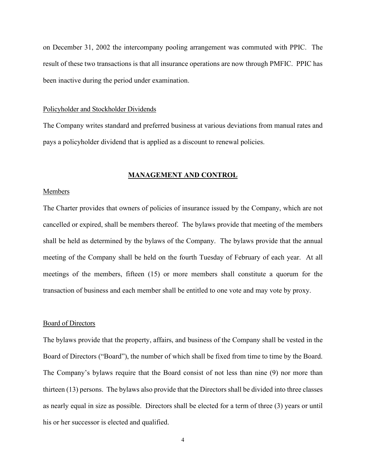on December 31, 2002 the intercompany pooling arrangement was commuted with PPIC. The result of these two transactions is that all insurance operations are now through PMFIC. PPIC has been inactive during the period under examination.

#### Policyholder and Stockholder Dividends

The Company writes standard and preferred business at various deviations from manual rates and pays a policyholder dividend that is applied as a discount to renewal policies.

## **MANAGEMENT AND CONTROL**

## Members

The Charter provides that owners of policies of insurance issued by the Company, which are not cancelled or expired, shall be members thereof. The bylaws provide that meeting of the members shall be held as determined by the bylaws of the Company. The bylaws provide that the annual meeting of the Company shall be held on the fourth Tuesday of February of each year. At all meetings of the members, fifteen (15) or more members shall constitute a quorum for the transaction of business and each member shall be entitled to one vote and may vote by proxy.

#### Board of Directors

The bylaws provide that the property, affairs, and business of the Company shall be vested in the Board of Directors ("Board"), the number of which shall be fixed from time to time by the Board. The Company's bylaws require that the Board consist of not less than nine (9) nor more than thirteen (13) persons. The bylaws also provide that the Directors shall be divided into three classes as nearly equal in size as possible. Directors shall be elected for a term of three (3) years or until his or her successor is elected and qualified.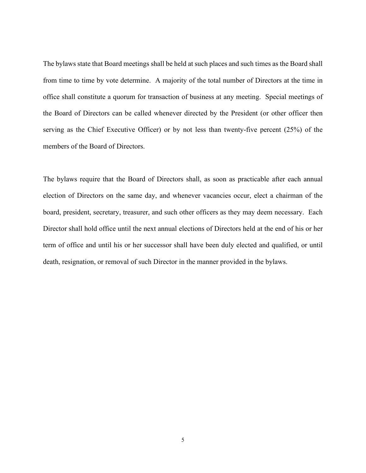The bylaws state that Board meetings shall be held at such places and such times as the Board shall from time to time by vote determine. A majority of the total number of Directors at the time in office shall constitute a quorum for transaction of business at any meeting. Special meetings of the Board of Directors can be called whenever directed by the President (or other officer then serving as the Chief Executive Officer) or by not less than twenty-five percent (25%) of the members of the Board of Directors.

The bylaws require that the Board of Directors shall, as soon as practicable after each annual election of Directors on the same day, and whenever vacancies occur, elect a chairman of the board, president, secretary, treasurer, and such other officers as they may deem necessary. Each Director shall hold office until the next annual elections of Directors held at the end of his or her term of office and until his or her successor shall have been duly elected and qualified, or until death, resignation, or removal of such Director in the manner provided in the bylaws.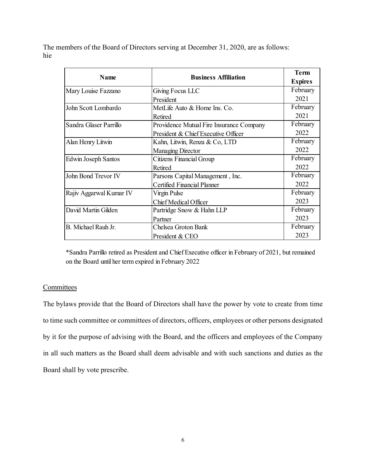The members of the Board of Directors serving at December 31, 2020, are as follows: hie

| <b>Name</b>             | <b>Business Affiliation</b>              |                |
|-------------------------|------------------------------------------|----------------|
|                         |                                          | <b>Expires</b> |
| Mary Louise Fazzano     | Giving Focus LLC                         | February       |
|                         | President                                | 2021           |
| John Scott Lombardo     | MetLife Auto & Home Ins. Co.             | February       |
|                         | Retired                                  | 2021           |
| Sandra Glaser Parrillo  | Providence Mutual Fire Insurance Company | February       |
|                         | President & Chief Executive Officer      | 2022           |
| Alan Henry Litwin       | Kahn, Litwin, Renza & Co, LTD            | February       |
|                         | Managing Director                        | 2022           |
| Edwin Joseph Santos     | Citizens Financial Group                 | February       |
|                         | Retired                                  | 2022           |
| John Bond Trevor IV     | Parsons Capital Management, Inc.         | February       |
|                         | Certified Financial Planner              | 2022           |
| Rajiv Aggarwal Kumar IV | Virgin Pulse                             | February       |
|                         | Chief Medical Officer                    | 2023           |
| David Martin Gilden     | Partridge Snow & Hahn LLP                | February       |
|                         | Partner                                  | 2023           |
| B. Michael Rauh Jr.     | Chelsea Groton Bank                      | February       |
|                         | President & CEO                          | 2023           |

\*Sandra Parrillo retired as President and Chief Executive officer in February of 2021, but remained on the Board until her term expired in February 2022

# **Committees**

The bylaws provide that the Board of Directors shall have the power by vote to create from time to time such committee or committees of directors, officers, employees or other persons designated by it for the purpose of advising with the Board, and the officers and employees of the Company in all such matters as the Board shall deem advisable and with such sanctions and duties as the Board shall by vote prescribe.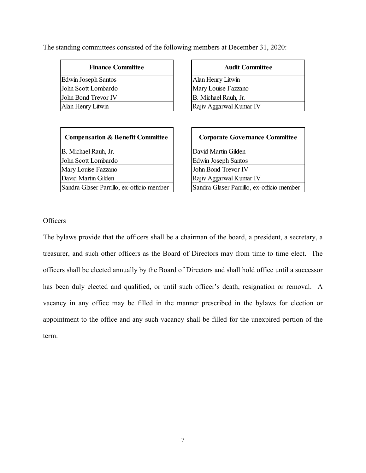The standing committees consisted of the following members at December 31, 2020:

| <b>Finance Committee</b>   | <b>Audit Committee</b>  |
|----------------------------|-------------------------|
| <b>Edwin Joseph Santos</b> | Alan Henry Litwin       |
| John Scott Lombardo        | Mary Louise Fazzano     |
| John Bond Trevor IV        | B. Michael Rauh, Jr.    |
| Alan Henry Litwin          | Rajiv Aggarwal Kumar IV |

| <b>Compensation &amp; Benefit Committee</b> | <b>Corporate Governance Committee</b>     |
|---------------------------------------------|-------------------------------------------|
| B. Michael Rauh, Jr.                        | David Martin Gilden                       |
| John Scott Lombardo                         | <b>Edwin Joseph Santos</b>                |
| Mary Louise Fazzano                         | John Bond Trevor IV                       |
| David Martin Gilden                         | Rajiv Aggarwal Kumar IV                   |
| Sandra Glaser Parrillo, ex-officio member   | Sandra Glaser Parrillo, ex-officio member |

| <b>Audit Committee</b>  |  |  |  |
|-------------------------|--|--|--|
| Alan Henry Litwin       |  |  |  |
| Mary Louise Fazzano     |  |  |  |
| B. Michael Rauh, Jr.    |  |  |  |
| Rajiv Aggarwal Kumar IV |  |  |  |

| <b>Corporate Governance Committee</b>     |
|-------------------------------------------|
| David Martin Gilden                       |
| <b>Edwin Joseph Santos</b>                |
| John Bond Trevor IV                       |
| Rajiv Aggarwal Kumar IV                   |
| Sandra Glaser Parrillo, ex-officio member |

# **Officers**

The bylaws provide that the officers shall be a chairman of the board, a president, a secretary, a treasurer, and such other officers as the Board of Directors may from time to time elect. The officers shall be elected annually by the Board of Directors and shall hold office until a successor has been duly elected and qualified, or until such officer's death, resignation or removal. A vacancy in any office may be filled in the manner prescribed in the bylaws for election or appointment to the office and any such vacancy shall be filled for the unexpired portion of the term.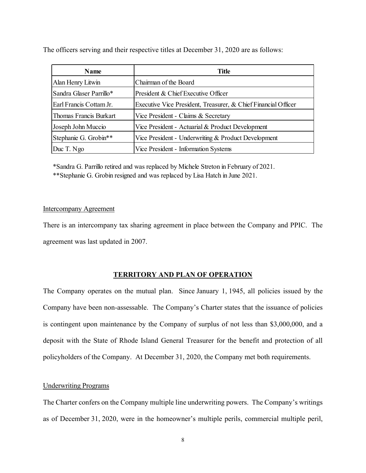The officers serving and their respective titles at December 31, 2020 are as follows:

| Name                    | Title                                                          |  |  |
|-------------------------|----------------------------------------------------------------|--|--|
| Alan Henry Litwin       | Chairman of the Board                                          |  |  |
| Sandra Glaser Parrillo* | President & Chief Executive Officer                            |  |  |
| Earl Francis Cottam Jr. | Executive Vice President, Treasurer, & Chief Financial Officer |  |  |
| Thomas Francis Burkart  | Vice President - Claims & Secretary                            |  |  |
| Joseph John Muccio      | Vice President - Actuarial & Product Development               |  |  |
| Stephanie G. Grobin**   | Vice President - Underwriting & Product Development            |  |  |
| Duc T. Ngo              | Vice President - Information Systems                           |  |  |

\*Sandra G. Parrillo retired and was replaced by Michele Streton in February of 2021. \*\*Stephanie G. Grobin resigned and was replaced by Lisa Hatch in June 2021.

## Intercompany Agreement

There is an intercompany tax sharing agreement in place between the Company and PPIC. The agreement was last updated in 2007.

## **TERRITORY AND PLAN OF OPERATION**

The Company operates on the mutual plan. Since January 1, 1945, all policies issued by the Company have been non-assessable. The Company's Charter states that the issuance of policies is contingent upon maintenance by the Company of surplus of not less than \$3,000,000, and a deposit with the State of Rhode Island General Treasurer for the benefit and protection of all policyholders of the Company. At December 31, 2020, the Company met both requirements.

## Underwriting Programs

The Charter confers on the Company multiple line underwriting powers. The Company's writings as of December 31, 2020, were in the homeowner's multiple perils, commercial multiple peril,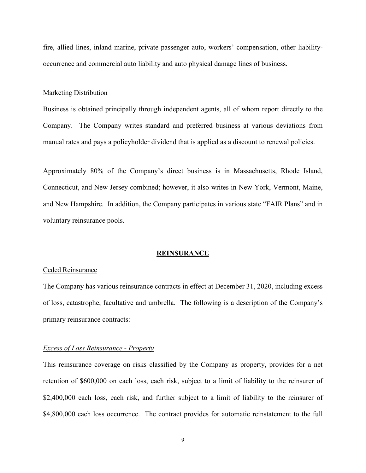fire, allied lines, inland marine, private passenger auto, workers' compensation, other liabilityoccurrence and commercial auto liability and auto physical damage lines of business.

#### Marketing Distribution

Business is obtained principally through independent agents, all of whom report directly to the Company. The Company writes standard and preferred business at various deviations from manual rates and pays a policyholder dividend that is applied as a discount to renewal policies.

Approximately 80% of the Company's direct business is in Massachusetts, Rhode Island, Connecticut, and New Jersey combined; however, it also writes in New York, Vermont, Maine, and New Hampshire. In addition, the Company participates in various state "FAIR Plans" and in voluntary reinsurance pools.

#### **REINSURANCE**

### Ceded Reinsurance

The Company has various reinsurance contracts in effect at December 31, 2020, including excess of loss, catastrophe, facultative and umbrella. The following is a description of the Company's primary reinsurance contracts:

## *Excess of Loss Reinsurance - Property*

This reinsurance coverage on risks classified by the Company as property, provides for a net retention of \$600,000 on each loss, each risk, subject to a limit of liability to the reinsurer of \$2,400,000 each loss, each risk, and further subject to a limit of liability to the reinsurer of \$4,800,000 each loss occurrence. The contract provides for automatic reinstatement to the full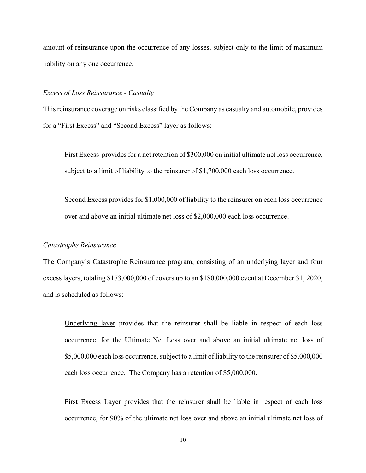amount of reinsurance upon the occurrence of any losses, subject only to the limit of maximum liability on any one occurrence.

## *Excess of Loss Reinsurance - Casualty*

This reinsurance coverage on risks classified by the Company as casualty and automobile, provides for a "First Excess" and "Second Excess" layer as follows:

First Excess provides for a net retention of \$300,000 on initial ultimate net loss occurrence, subject to a limit of liability to the reinsurer of \$1,700,000 each loss occurrence.

Second Excess provides for \$1,000,000 of liability to the reinsurer on each loss occurrence over and above an initial ultimate net loss of \$2,000,000 each loss occurrence.

## *Catastrophe Reinsurance*

The Company's Catastrophe Reinsurance program, consisting of an underlying layer and four excess layers, totaling \$173,000,000 of covers up to an \$180,000,000 event at December 31, 2020, and is scheduled as follows:

Underlying layer provides that the reinsurer shall be liable in respect of each loss occurrence, for the Ultimate Net Loss over and above an initial ultimate net loss of \$5,000,000 each loss occurrence, subject to a limit of liability to the reinsurer of \$5,000,000 each loss occurrence. The Company has a retention of \$5,000,000.

First Excess Layer provides that the reinsurer shall be liable in respect of each loss occurrence, for 90% of the ultimate net loss over and above an initial ultimate net loss of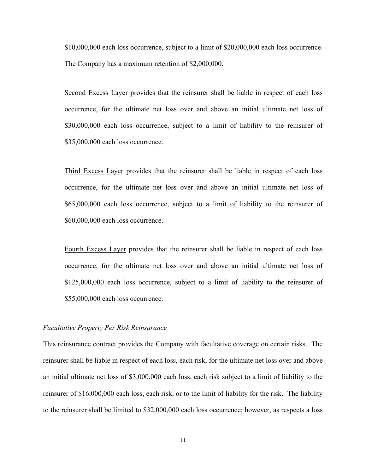\$10,000,000 each loss occurrence, subject to a limit of \$20,000,000 each loss occurrence. The Company has a maximum retention of \$2,000,000.

Second Excess Layer provides that the reinsurer shall be liable in respect of each loss occurrence, for the ultimate net loss over and above an initial ultimate net loss of \$30,000,000 each loss occurrence, subject to a limit of liability to the reinsurer of \$35,000,000 each loss occurrence.

Third Excess Layer provides that the reinsurer shall be liable in respect of each loss occurrence, for the ultimate net loss over and above an initial ultimate net loss of \$65,000,000 each loss occurrence, subject to a limit of liability to the reinsurer of \$60,000,000 each loss occurrence.

Fourth Excess Layer provides that the reinsurer shall be liable in respect of each loss occurrence, for the ultimate net loss over and above an initial ultimate net loss of \$125,000,000 each loss occurrence, subject to a limit of liability to the reinsurer of \$55,000,000 each loss occurrence.

#### *Facultative Property Per Risk Reinsurance*

This reinsurance contract provides the Company with facultative coverage on certain risks. The reinsurer shall be liable in respect of each loss, each risk, for the ultimate net loss over and above an initial ultimate net loss of \$3,000,000 each loss, each risk subject to a limit of liability to the reinsurer of \$16,000,000 each loss, each risk, or to the limit of liability for the risk. The liability to the reinsurer shall be limited to \$32,000,000 each loss occurrence; however, as respects a loss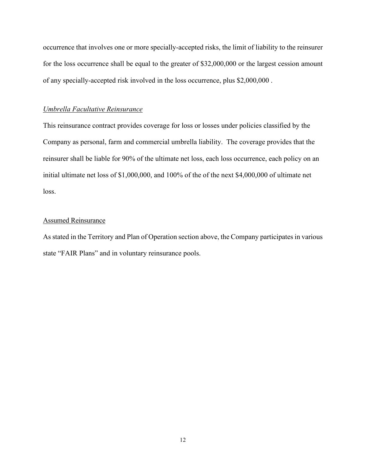occurrence that involves one or more specially-accepted risks, the limit of liability to the reinsurer for the loss occurrence shall be equal to the greater of \$32,000,000 or the largest cession amount of any specially-accepted risk involved in the loss occurrence, plus \$2,000,000 .

## *Umbrella Facultative Reinsurance*

This reinsurance contract provides coverage for loss or losses under policies classified by the Company as personal, farm and commercial umbrella liability. The coverage provides that the reinsurer shall be liable for 90% of the ultimate net loss, each loss occurrence, each policy on an initial ultimate net loss of \$1,000,000, and 100% of the of the next \$4,000,000 of ultimate net loss.

# Assumed Reinsurance

As stated in the Territory and Plan of Operation section above, the Company participates in various state "FAIR Plans" and in voluntary reinsurance pools.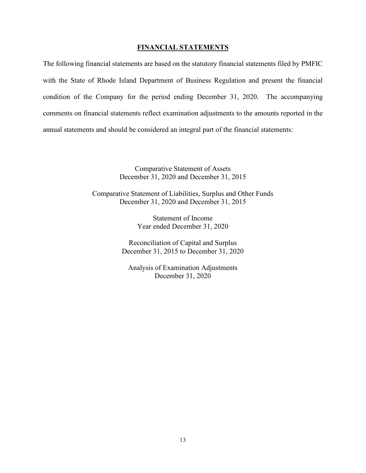## **FINANCIAL STATEMENTS**

The following financial statements are based on the statutory financial statements filed by PMFIC with the State of Rhode Island Department of Business Regulation and present the financial condition of the Company for the period ending December 31, 2020. The accompanying comments on financial statements reflect examination adjustments to the amounts reported in the annual statements and should be considered an integral part of the financial statements:

> Comparative Statement of Assets December 31, 2020 and December 31, 2015

Comparative Statement of Liabilities, Surplus and Other Funds December 31, 2020 and December 31, 2015

> Statement of Income Year ended December 31, 2020

Reconciliation of Capital and Surplus December 31, 2015 to December 31, 2020

Analysis of Examination Adjustments December 31, 2020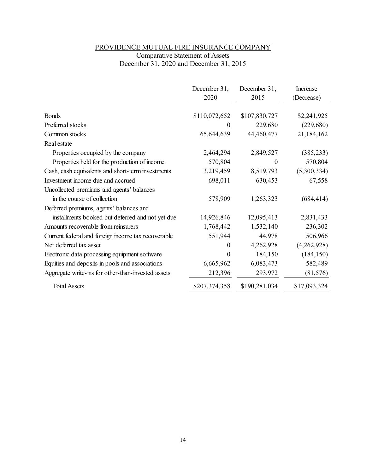# PROVIDENCE MUTUAL FIRE INSURANCE COMPANY Comparative Statement of Assets December 31, 2020 and December 31, 2015

|                                                    | December 31,<br>2020 | December 31,<br>2015 | Increase<br>(Decrease) |
|----------------------------------------------------|----------------------|----------------------|------------------------|
|                                                    |                      |                      |                        |
| <b>Bonds</b>                                       | \$110,072,652        | \$107,830,727        | \$2,241,925            |
| Preferred stocks                                   | $\theta$             | 229,680              | (229,680)              |
| Common stocks                                      | 65,644,639           | 44,460,477           | 21,184,162             |
| Real estate                                        |                      |                      |                        |
| Properties occupied by the company                 | 2,464,294            | 2,849,527            | (385, 233)             |
| Properties held for the production of income       | 570,804              | $\theta$             | 570,804                |
| Cash, cash equivalents and short-term investments  | 3,219,459            | 8,519,793            | (5,300,334)            |
| Investment income due and accrued                  | 698,011              | 630,453              | 67,558                 |
| Uncollected premiums and agents' balances          |                      |                      |                        |
| in the course of collection                        | 578,909              | 1,263,323            | (684, 414)             |
| Deferred premiums, agents' balances and            |                      |                      |                        |
| installments booked but deferred and not yet due   | 14,926,846           | 12,095,413           | 2,831,433              |
| Amounts recoverable from reinsurers                | 1,768,442            | 1,532,140            | 236,302                |
| Current federal and foreign income tax recoverable | 551,944              | 44,978               | 506,966                |
| Net deferred tax asset                             | $\boldsymbol{0}$     | 4,262,928            | (4,262,928)            |
| Electronic data processing equipment software      | $\theta$             | 184,150              | (184, 150)             |
| Equities and deposits in pools and associations    | 6,665,962            | 6,083,473            | 582,489                |
| Aggregate write-ins for other-than-invested assets | 212,396              | 293,972              | (81, 576)              |
| <b>Total Assets</b>                                | \$207,374,358        | \$190,281,034        | \$17,093,324           |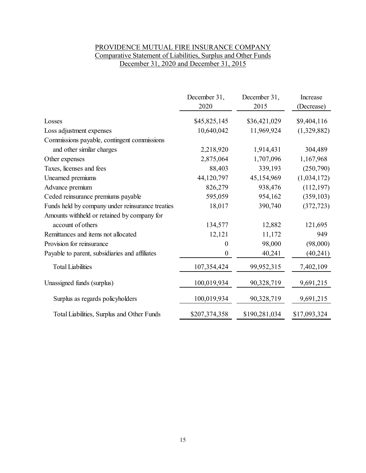# PROVIDENCE MUTUAL FIRE INSURANCE COMPANY Comparative Statement of Liabilities, Surplus and Other Funds December 31, 2020 and December 31, 2015

|                                                  | December 31,<br>2020 | December 31,<br>2015 | Increase<br>(Decrease) |
|--------------------------------------------------|----------------------|----------------------|------------------------|
| Losses                                           | \$45,825,145         | \$36,421,029         | \$9,404,116            |
| Loss adjustment expenses                         | 10,640,042           | 11,969,924           | (1,329,882)            |
| Commissions payable, contingent commissions      |                      |                      |                        |
| and other similar charges                        | 2,218,920            | 1,914,431            | 304,489                |
| Other expenses                                   | 2,875,064            | 1,707,096            | 1,167,968              |
| Taxes, licenses and fees                         | 88,403               | 339,193              | (250,790)              |
| Unearned premiums                                | 44,120,797           | 45,154,969           | (1,034,172)            |
| Advance premium                                  | 826,279              | 938,476              | (112, 197)             |
| Ceded reinsurance premiums payable               | 595,059              | 954,162              | (359, 103)             |
| Funds held by company under reinsurance treaties | 18,017               | 390,740              | (372, 723)             |
| Amounts withheld or retained by company for      |                      |                      |                        |
| account of others                                | 134,577              | 12,882               | 121,695                |
| Remittances and items not allocated              | 12,121               | 11,172               | 949                    |
| Provision for reinsurance                        | $\boldsymbol{0}$     | 98,000               | (98,000)               |
| Payable to parent, subsidiaries and affiliates   | $\boldsymbol{0}$     | 40,241               | (40,241)               |
| <b>Total Liabilities</b>                         | 107,354,424          | 99,952,315           | 7,402,109              |
| Unassigned funds (surplus)                       | 100,019,934          | 90,328,719           | 9,691,215              |
| Surplus as regards policyholders                 | 100,019,934          | 90,328,719           | 9,691,215              |
| Total Liabilities, Surplus and Other Funds       | \$207,374,358        | \$190,281,034        | \$17,093,324           |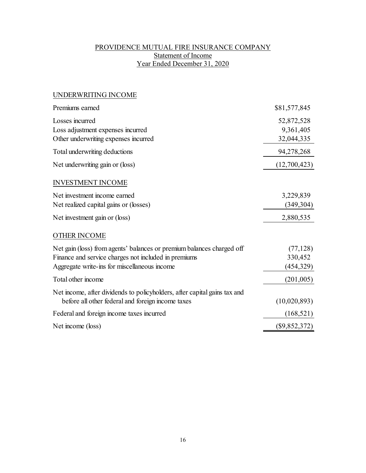# PROVIDENCE MUTUAL FIRE INSURANCE COMPANY Statement of Income Year Ended December 31, 2020

# UNDERWRITING INCOME

| Premiums earned                                                                                                                                                               | \$81,577,845                          |
|-------------------------------------------------------------------------------------------------------------------------------------------------------------------------------|---------------------------------------|
| Losses incurred<br>Loss adjustment expenses incurred<br>Other underwriting expenses incurred                                                                                  | 52,872,528<br>9,361,405<br>32,044,335 |
| Total underwriting deductions                                                                                                                                                 | 94,278,268                            |
| Net underwriting gain or (loss)                                                                                                                                               | (12,700,423)                          |
| <b>INVESTMENT INCOME</b>                                                                                                                                                      |                                       |
| Net investment income earned<br>Net realized capital gains or (losses)                                                                                                        | 3,229,839<br>(349, 304)               |
| Net investment gain or (loss)                                                                                                                                                 | 2,880,535                             |
| <b>OTHER INCOME</b>                                                                                                                                                           |                                       |
| Net gain (loss) from agents' balances or premium balances charged off<br>Finance and service charges not included in premiums<br>Aggregate write-ins for miscellaneous income | (77, 128)<br>330,452<br>(454, 329)    |
| Total other income                                                                                                                                                            | (201,005)                             |
| Net income, after dividends to policyholders, after capital gains tax and<br>before all other federal and foreign income taxes                                                | (10,020,893)                          |
| Federal and foreign income taxes incurred                                                                                                                                     | (168, 521)                            |
| Net income (loss)                                                                                                                                                             | $(\$9,852,372)$                       |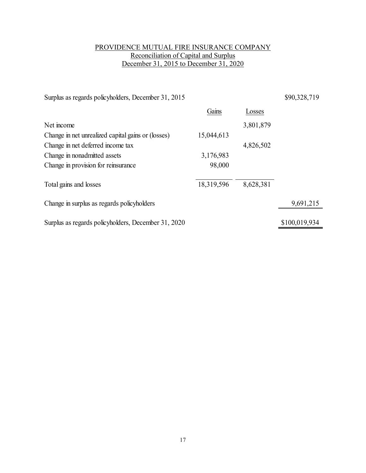# PROVIDENCE MUTUAL FIRE INSURANCE COMPANY Reconciliation of Capital and Surplus December 31, 2015 to December 31, 2020

| Surplus as regards policyholders, December 31, 2015 |            |           | \$90,328,719  |
|-----------------------------------------------------|------------|-----------|---------------|
|                                                     | Gains      | Losses    |               |
| Net income                                          |            | 3,801,879 |               |
| Change in net unrealized capital gains or (losses)  | 15,044,613 |           |               |
| Change in net deferred income tax                   |            | 4,826,502 |               |
| Change in nonadmitted assets                        | 3,176,983  |           |               |
| Change in provision for reinsurance                 | 98,000     |           |               |
| Total gains and losses                              | 18,319,596 | 8,628,381 |               |
| Change in surplus as regards policyholders          |            |           | 9,691,215     |
| Surplus as regards policyholders, December 31, 2020 |            |           | \$100,019,934 |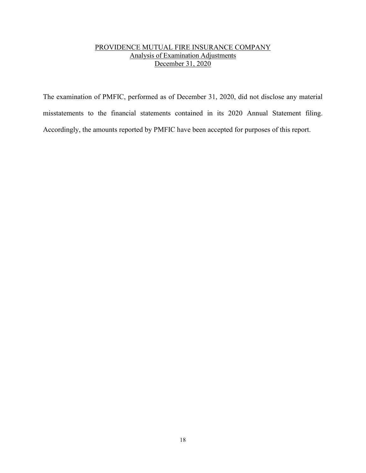# PROVIDENCE MUTUAL FIRE INSURANCE COMPANY Analysis of Examination Adjustments December 31, 2020

The examination of PMFIC, performed as of December 31, 2020, did not disclose any material misstatements to the financial statements contained in its 2020 Annual Statement filing. Accordingly, the amounts reported by PMFIC have been accepted for purposes of this report.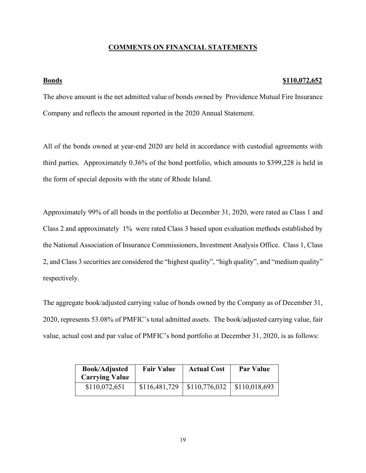## **COMMENTS ON FINANCIAL STATEMENTS**

### **Bonds \$110,072,652**

The above amount is the net admitted value of bonds owned by Providence Mutual Fire Insurance Company and reflects the amount reported in the 2020 Annual Statement.

All of the bonds owned at year-end 2020 are held in accordance with custodial agreements with third parties. Approximately 0.36% of the bond portfolio, which amounts to \$399,228 is held in the form of special deposits with the state of Rhode Island.

Approximately 99% of all bonds in the portfolio at December 31, 2020, were rated as Class 1 and Class 2 and approximately 1% were rated Class 3 based upon evaluation methods established by the National Association of Insurance Commissioners, Investment Analysis Office. Class 1, Class 2, and Class 3 securities are considered the "highest quality", "high quality", and "medium quality" respectively.

The aggregate book/adjusted carrying value of bonds owned by the Company as of December 31, 2020, represents 53.08% of PMFIC's total admitted assets. The book/adjusted carrying value, fair value, actual cost and par value of PMFIC's bond portfolio at December 31, 2020, is as follows:

| <b>Book/Adjusted</b><br><b>Carrying Value</b> | <b>Fair Value</b> | <b>Actual Cost</b> | <b>Par Value</b> |
|-----------------------------------------------|-------------------|--------------------|------------------|
| \$110,072,651                                 | \$116,481,729     | \$110,776,032      | \$110,018,693    |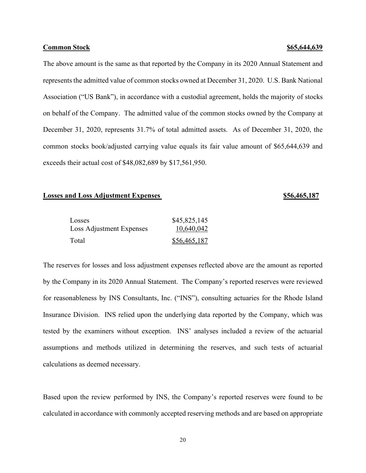#### **Common Stock \$65,644,639 65,644,639**

The above amount is the same as that reported by the Company in its 2020 Annual Statement and represents the admitted value of common stocks owned at December 31, 2020. U.S. Bank National Association ("US Bank"), in accordance with a custodial agreement, holds the majority of stocks on behalf of the Company. The admitted value of the common stocks owned by the Company at December 31, 2020, represents 31.7% of total admitted assets. As of December 31, 2020, the common stocks book/adjusted carrying value equals its fair value amount of \$65,644,639 and exceeds their actual cost of \$48,082,689 by \$17,561,950.

#### **Losses and Loss Adjustment Expenses 1988 1988 1988 1988 1988 1988 1988 1988 1988 1989 1988 1989 1988 1989 1989 1989 1989 1989 1989 1989 1989 1989 1989 1989 1989 1989 1**

| Losses                   | \$45,825,145 |
|--------------------------|--------------|
| Loss Adjustment Expenses | 10,640,042   |
| Total                    | \$56,465,187 |

The reserves for losses and loss adjustment expenses reflected above are the amount as reported by the Company in its 2020 Annual Statement. The Company's reported reserves were reviewed for reasonableness by INS Consultants, Inc. ("INS"), consulting actuaries for the Rhode Island Insurance Division. INS relied upon the underlying data reported by the Company, which was tested by the examiners without exception. INS' analyses included a review of the actuarial assumptions and methods utilized in determining the reserves, and such tests of actuarial calculations as deemed necessary.

Based upon the review performed by INS, the Company's reported reserves were found to be calculated in accordance with commonly accepted reserving methods and are based on appropriate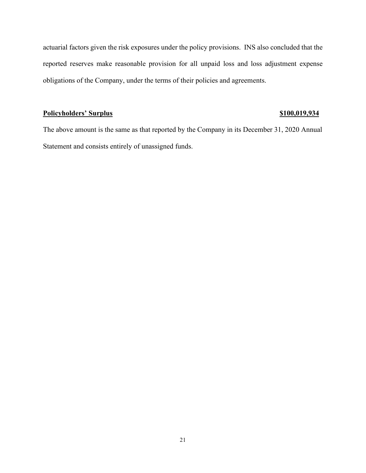actuarial factors given the risk exposures under the policy provisions. INS also concluded that the reported reserves make reasonable provision for all unpaid loss and loss adjustment expense obligations of the Company, under the terms of their policies and agreements.

# **Policyholders' Surplus Policyholders' Surplus \$100,019,934**

The above amount is the same as that reported by the Company in its December 31, 2020 Annual Statement and consists entirely of unassigned funds.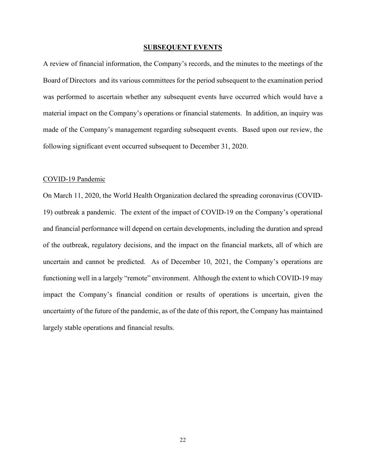#### **SUBSEQUENT EVENTS**

A review of financial information, the Company's records, and the minutes to the meetings of the Board of Directors and its various committees for the period subsequent to the examination period was performed to ascertain whether any subsequent events have occurred which would have a material impact on the Company's operations or financial statements. In addition, an inquiry was made of the Company's management regarding subsequent events. Based upon our review, the following significant event occurred subsequent to December 31, 2020.

#### COVID-19 Pandemic

On March 11, 2020, the World Health Organization declared the spreading coronavirus (COVID-19) outbreak a pandemic. The extent of the impact of COVID-19 on the Company's operational and financial performance will depend on certain developments, including the duration and spread of the outbreak, regulatory decisions, and the impact on the financial markets, all of which are uncertain and cannot be predicted. As of December 10, 2021, the Company's operations are functioning well in a largely "remote" environment. Although the extent to which COVID-19 may impact the Company's financial condition or results of operations is uncertain, given the uncertainty of the future of the pandemic, as of the date of this report, the Company has maintained largely stable operations and financial results.